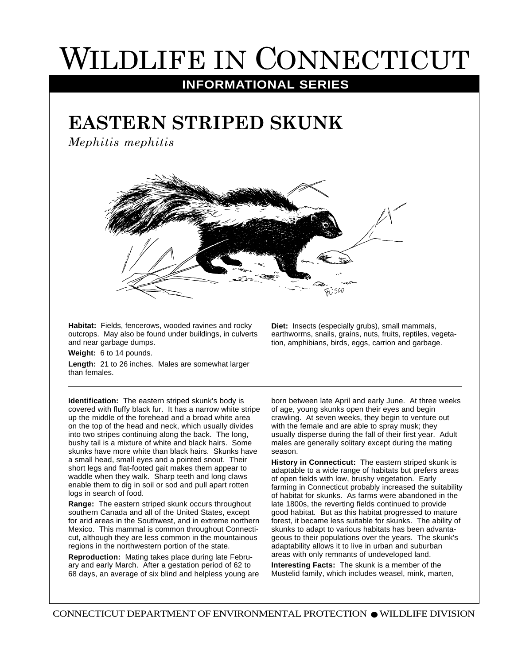## WILDLIFE IN CONNECTICUT

## **INFORMATIONAL SERIES**

## **EASTERN STRIPED SKUNK**

*Mephitis mephitis*



**Habitat:** Fields, fencerows, wooded ravines and rocky outcrops. May also be found under buildings, in culverts and near garbage dumps.

**Weight:** 6 to 14 pounds.

**Length:** 21 to 26 inches. Males are somewhat larger than females.

**Identification:** The eastern striped skunk's body is covered with fluffy black fur. It has a narrow white stripe up the middle of the forehead and a broad white area on the top of the head and neck, which usually divides into two stripes continuing along the back. The long, bushy tail is a mixture of white and black hairs. Some skunks have more white than black hairs. Skunks have a small head, small eyes and a pointed snout. Their short legs and flat-footed gait makes them appear to waddle when they walk. Sharp teeth and long claws enable them to dig in soil or sod and pull apart rotten logs in search of food.

**Range:** The eastern striped skunk occurs throughout southern Canada and all of the United States, except for arid areas in the Southwest, and in extreme northern Mexico. This mammal is common throughout Connecticut, although they are less common in the mountainous regions in the northwestern portion of the state.

**Reproduction:** Mating takes place during late February and early March. After a gestation period of 62 to 68 days, an average of six blind and helpless young are

**Diet:** Insects (especially grubs), small mammals, earthworms, snails, grains, nuts, fruits, reptiles, vegetation, amphibians, birds, eggs, carrion and garbage.

born between late April and early June. At three weeks of age, young skunks open their eyes and begin crawling. At seven weeks, they begin to venture out with the female and are able to spray musk; they usually disperse during the fall of their first year. Adult males are generally solitary except during the mating season.

**History in Connecticut:** The eastern striped skunk is adaptable to a wide range of habitats but prefers areas of open fields with low, brushy vegetation. Early farming in Connecticut probably increased the suitability of habitat for skunks. As farms were abandoned in the late 1800s, the reverting fields continued to provide good habitat. But as this habitat progressed to mature forest, it became less suitable for skunks. The ability of skunks to adapt to various habitats has been advantageous to their populations over the years. The skunk's adaptability allows it to live in urban and suburban areas with only remnants of undeveloped land.

**Interesting Facts:** The skunk is a member of the Mustelid family, which includes weasel, mink, marten,